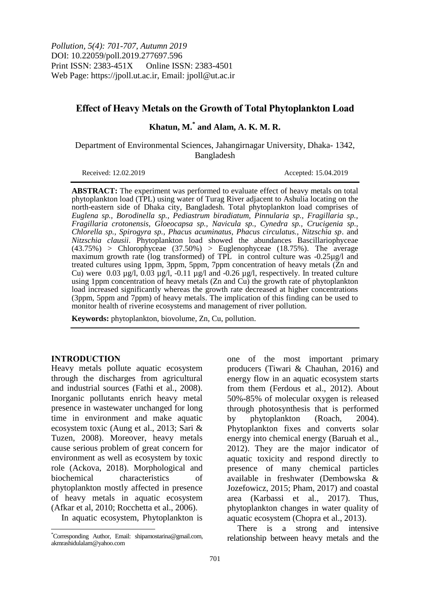# **Effect of Heavy Metals on the Growth of Total Phytoplankton Load**

# **Khatun, M.\* and Alam, A. K. M. R.**

Department of Environmental Sciences, Jahangirnagar University, Dhaka- 1342, Bangladesh

Received: 12.02.2019 Accepted: 15.04.2019

**ABSTRACT:** The experiment was performed to evaluate effect of heavy metals on total phytoplankton load (TPL) using water of Turag River adjacent to Ashulia locating on the north-eastern side of Dhaka city, Bangladesh. Total phytoplankton load comprises of *Euglena sp., Borodinella sp., Pediastrum biradiatum, Pinnularia sp., Fragillaria sp., Fragillaria crotonensis, Gloeocapsa sp., Navicula sp., Cynedra sp., Crucigenia sp., Chlorella sp., Spirogyra sp., Phacus acuminatus, Phacus circulatus., Nitzschia sp*. and *Nitzschia clausii*. Phytoplankton load showed the abundances Bascillariophyceae  $(43.75%)$  > Chlorophyceae  $(37.50%)$  > Euglenophyceae  $(18.75%)$ . The average maximum growth rate (log transformed) of TPL in control culture was -0.25µg/l and treated cultures using 1ppm, 3ppm, 5ppm, 7ppm concentration of heavy metals (Zn and Cu) were  $0.03 \text{ µg/l}, 0.03 \text{ µg/l}, -0.11 \text{ µg/l}$  and  $-0.26 \text{ µg/l},$  respectively. In treated culture using 1ppm concentration of heavy metals (Zn and Cu) the growth rate of phytoplankton load increased significantly whereas the growth rate decreased at higher concentrations (3ppm, 5ppm and 7ppm) of heavy metals. The implication of this finding can be used to monitor health of riverine ecosystems and management of river pollution.

**Keywords:** phytoplankton, biovolume, Zn, Cu, pollution.

## **INTRODUCTION**

 $\overline{\phantom{a}}$ 

Heavy metals pollute aquatic ecosystem through the discharges from agricultural and industrial sources (Fathi et al., 2008). Inorganic pollutants enrich heavy metal presence in wastewater unchanged for long time in environment and make aquatic ecosystem toxic (Aung et al., 2013; Sari & Tuzen, 2008). Moreover, heavy metals cause serious problem of great concern for environment as well as ecosystem by toxic role (Ackova, 2018). Morphological and biochemical characteristics of phytoplankton mostly affected in presence of heavy metals in aquatic ecosystem (Afkar et al, 2010; Rocchetta et al., 2006).

In aquatic ecosystem, Phytoplankton is

one of the most important primary producers (Tiwari & Chauhan, 2016) and energy flow in an aquatic ecosystem starts from them (Ferdous et al., 2012). About 50%-85% of molecular oxygen is released through photosynthesis that is performed by phytoplankton (Roach, 2004). Phytoplankton fixes and converts solar energy into chemical energy (Baruah et al., 2012). They are the major indicator of aquatic toxicity and respond directly to presence of many chemical particles available in freshwater (Dembowska & Jozefowicz, 2015; Pham, 2017) and coastal area (Karbassi et al., 2017). Thus, phytoplankton changes in water quality of aquatic ecosystem (Chopra et al., 2013).

There is a strong and intensive relationship between heavy metals and the

<sup>\*</sup>Corresponding Author, Email: shipamostarina@gmail.com, akmrashidulalam@yahoo.com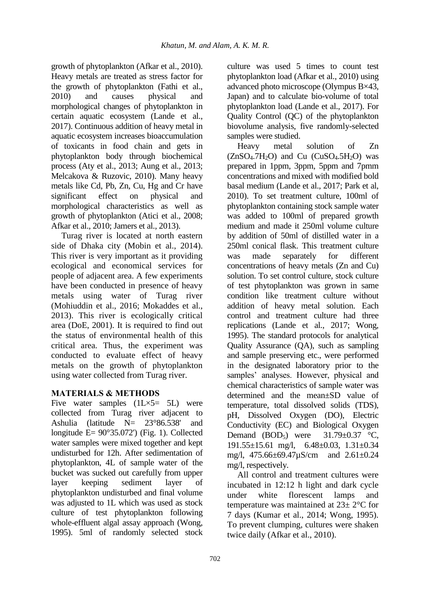growth of phytoplankton (Afkar et al., 2010). Heavy metals are treated as stress factor for the growth of phytoplankton (Fathi et al., 2010) and causes physical and morphological changes of phytoplankton in certain aquatic ecosystem (Lande et al., 2017). Continuous addition of heavy metal in aquatic ecosystem increases bioaccumulation of toxicants in food chain and gets in phytoplankton body through biochemical process (Aty et al., 2013; Aung et al., 2013; Melcakova & Ruzovic, 2010). Many heavy metals like Cd, Pb, Zn, Cu, Hg and Cr have significant effect on physical and morphological characteristics as well as growth of phytoplankton (Atici et al., 2008; Afkar et al., 2010; Jamers et al., 2013).

Turag river is located at north eastern side of Dhaka city (Mobin et al., 2014). This river is very important as it providing ecological and economical services for people of adjacent area. A few experiments have been conducted in presence of heavy metals using water of Turag river (Mohiuddin et al., 2016; Mokaddes et al., 2013). This river is ecologically critical area (DoE, 2001). It is required to find out the status of environmental health of this critical area. Thus, the experiment was conducted to evaluate effect of heavy metals on the growth of phytoplankton using water collected from Turag river.

# **MATERIALS & METHODS**

Five water samples  $(1L \times 5 = 5L)$  were collected from Turag river adjacent to Ashulia (latitude N= 23°86.538' and longitude E= 90°35.072') (Fig. 1). Collected water samples were mixed together and kept undisturbed for 12h. After sedimentation of phytoplankton, 4L of sample water of the bucket was sucked out carefully from upper layer keeping sediment layer of phytoplankton undisturbed and final volume was adjusted to 1L which was used as stock culture of test phytoplankton following whole-effluent algal assay approach (Wong, 1995). 5ml of randomly selected stock

culture was used 5 times to count test phytoplankton load (Afkar et al., 2010) using advanced photo microscope (Olympus B×43, Japan) and to calculate bio-volume of total phytoplankton load (Lande et al., 2017). For Quality Control (QC) of the phytoplankton biovolume analysis, five randomly-selected samples were studied.

Heavy metal solution of Zn  $(ZnSO<sub>4</sub>.7H<sub>2</sub>O)$  and Cu  $(CuSO<sub>4</sub>.5H<sub>2</sub>O)$  was prepared in 1ppm, 3ppm, 5ppm and 7pmm concentrations and mixed with modified bold basal medium (Lande et al., 2017; Park et al, 2010). To set treatment culture, 100ml of phytoplankton containing stock sample water was added to 100ml of prepared growth medium and made it 250ml volume culture by addition of 50ml of distilled water in a 250ml conical flask. This treatment culture was made separately for different concentrations of heavy metals (Zn and Cu) solution. To set control culture, stock culture of test phytoplankton was grown in same condition like treatment culture without addition of heavy metal solution. Each control and treatment culture had three replications (Lande et al., 2017; Wong, 1995). The standard protocols for analytical Quality Assurance (QA), such as sampling and sample preserving etc., were performed in the designated laboratory prior to the samples' analyses. However, physical and chemical characteristics of sample water was determined and the mean±SD value of temperature, total dissolved solids (TDS), pH, Dissolved Oxygen (DO), Electric Conductivity (EC) and Biological Oxygen Demand (BOD<sub>5</sub>) were  $31.79 \pm 0.37$  °C, 191.55±15.61 mg/l, 6.48±0.03, 1.31±0.34 mg/l, 475.66±69.47µS/cm and 2.61±0.24 mg/l, respectively.

All control and treatment cultures were incubated in 12:12 h light and dark cycle under white florescent lamps and temperature was maintained at 23± 2°C for 7 days (Kumar et al., 2014; Wong, 1995). To prevent clumping, cultures were shaken twice daily (Afkar et al., 2010).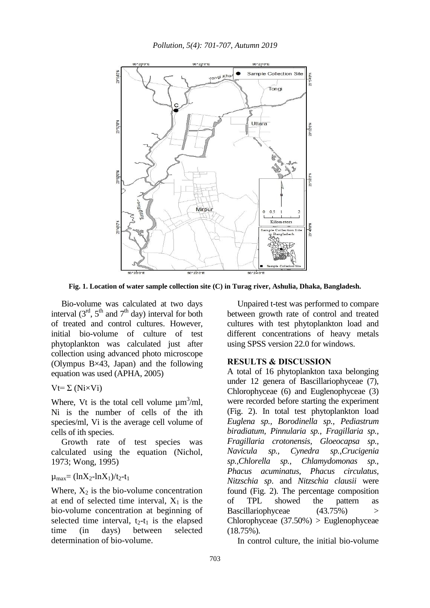

**Fig. 1. Location of water sample collection site (C) in Turag river, Ashulia, Dhaka, Bangladesh.**

Bio-volume was calculated at two days interval  $(3<sup>rd</sup>, 5<sup>th</sup>$  and  $7<sup>th</sup>$  day) interval for both of treated and control cultures. However, initial bio-volume of culture of test phytoplankton was calculated just after collection using advanced photo microscope (Olympus B×43, Japan) and the following equation was used (APHA, 2005)

 $Vt = \Sigma (NixVi)$ 

Where, Vt is the total cell volume  $\mu m^3/ml$ , Ni is the number of cells of the ith species/ml, Vi is the average cell volume of cells of ith species.

Growth rate of test species was calculated using the equation (Nichol, 1973; Wong, 1995)

 $\mu_{\text{max}} = (\ln X_2 - \ln X_1)/t_2 - t_1$ 

Where,  $X_2$  is the bio-volume concentration at end of selected time interval,  $X_1$  is the bio-volume concentration at beginning of selected time interval,  $t_2-t_1$  is the elapsed time (in days) between selected determination of bio-volume.

Unpaired t-test was performed to compare between growth rate of control and treated cultures with test phytoplankton load and different concentrations of heavy metals using SPSS version 22.0 for windows.

#### **RESULTS & DISCUSSION**

A total of 16 phytoplankton taxa belonging under 12 genera of Bascillariophyceae (7), Chlorophyceae (6) and Euglenophyceae (3) were recorded before starting the experiment (Fig. 2). In total test phytoplankton load *Euglena sp., Borodinella sp., Pediastrum biradiatum, Pinnularia sp., Fragillaria sp., Fragillaria crotonensis, Gloeocapsa sp., Navicula sp., Cynedra sp.,Crucigenia sp.,Chlorella sp., Chlamydomonas sp., Phacus acuminatus, Phacus circulatus, Nitzschia sp*. and *Nitzschia clausii* were found (Fig. 2). The percentage composition of TPL showed the pattern as Bascillariophyceae (43.75%) > Chlorophyceae (37.50%) > Euglenophyceae (18.75%).

In control culture, the initial bio-volume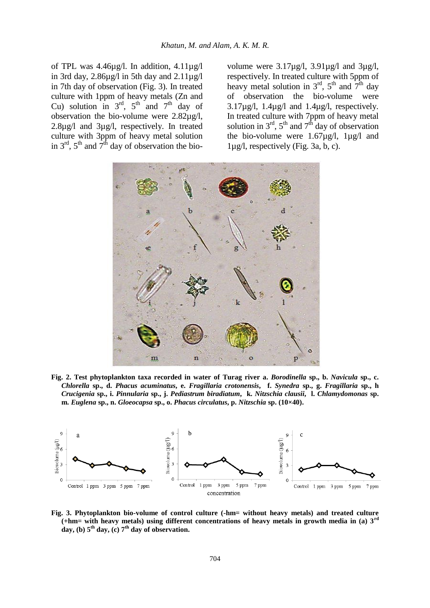of TPL was 4.46µg/l. In addition, 4.11µg/l in 3rd day,  $2.86\mu\text{g}$  in 5th day and  $2.11\mu\text{g}$ in 7th day of observation (Fig. 3). In treated culture with 1ppm of heavy metals (Zn and Cu) solution in  $3<sup>rd</sup>$ ,  $5<sup>th</sup>$  and  $7<sup>th</sup>$  day of observation the bio-volume were 2.82µg/l, 2.8µg/l and 3µg/l, respectively. In treated culture with 3ppm of heavy metal solution in  $3<sup>rd</sup>$ ,  $5<sup>th</sup>$  and  $7<sup>th</sup>$  day of observation the biovolume were 3.17µg/l, 3.91µg/l and 3µg/l, respectively. In treated culture with 5ppm of heavy metal solution in  $3<sup>rd</sup>$ ,  $5<sup>th</sup>$  and  $7<sup>th</sup>$  day of observation the bio-volume were  $3.17\mu$ g/l,  $1.4\mu$ g/l and  $1.4\mu$ g/l, respectively. In treated culture with 7ppm of heavy metal solution in  $3<sup>rd</sup>$ ,  $5<sup>th</sup>$  and  $7<sup>th</sup>$  day of observation the bio-volume were  $1.67\mu g/l$ ,  $1\mu g/l$  and 1µg/l, respectively (Fig. 3a, b, c).



**Fig. 2. Test phytoplankton taxa recorded in water of Turag river a.** *Borodinella* **sp., b.** *Navicula* **sp., c.**  *Chlorella* **sp., d.** *Phacus acuminatus***, e.** *Fragillaria crotonensis***, f.** *Synedra* **sp., g.** *Fragillaria* **sp., h**  *Crucigenia* **sp., i.** *Pinnularia* **sp., j.** *Pediastrum biradiatum***, k.** *Nitzschia clausii***, l.** *Chlamydomonas* **sp. m.** *Euglena* **sp., n.** *Gloeocapsa* **sp., o.** *Phacus circulatus***, p.** *Nitzschia* **sp. (10×40).** 



**Fig. 3. Phytoplankton bio-volume of control culture (-hm= without heavy metals) and treated culture (+hm= with heavy metals) using different concentrations of heavy metals in growth media in (a) 3rd day, (b) 5th day, (c) 7th day of observation.**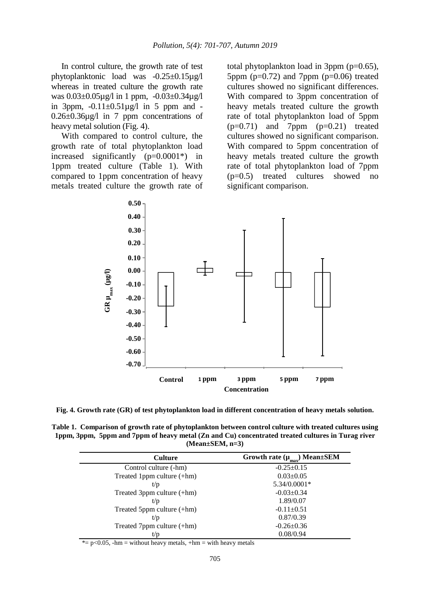In control culture, the growth rate of test phytoplanktonic load was -0.25±0.15µg/l whereas in treated culture the growth rate was 0.03±0.05µg/l in 1 ppm, -0.03±0.34µg/l in 3ppm,  $-0.11 \pm 0.51 \mu g/l$  in 5 ppm and -0.26±0.36µg/l in 7 ppm concentrations of heavy metal solution (Fig. 4).

With compared to control culture, the growth rate of total phytoplankton load increased significantly (p=0.0001\*) in 1ppm treated culture (Table 1). With compared to 1ppm concentration of heavy metals treated culture the growth rate of total phytoplankton load in 3ppm (p=0.65), 5ppm  $(p=0.72)$  and 7ppm  $(p=0.06)$  treated cultures showed no significant differences. With compared to 3ppm concentration of heavy metals treated culture the growth rate of total phytoplankton load of 5ppm  $(p=0.71)$  and 7ppm  $(p=0.21)$  treated cultures showed no significant comparison. With compared to 5ppm concentration of heavy metals treated culture the growth rate of total phytoplankton load of 7ppm (p=0.5) treated cultures showed no significant comparison.



**Fig. 4. Growth rate (GR) of test phytoplankton load in different concentration of heavy metals solution.** 

**Table 1. Comparison of growth rate of phytoplankton between control culture with treated cultures using 1ppm, 3ppm, 5ppm and 7ppm of heavy metal (Zn and Cu) concentrated treated cultures in Turag river (Mean±SEM, n=3)**

| <b>Culture</b>             | Growth rate $(\mu_{\text{max}})$ Mean $\pm$ SEM |
|----------------------------|-------------------------------------------------|
| Control culture (-hm)      | $-0.25 \pm 0.15$                                |
| Treated 1ppm culture (+hm) | $0.03 \pm 0.05$                                 |
| t/p                        | 5.34/0.0001*                                    |
| Treated 3ppm culture (+hm) | $-0.03 \pm 0.34$                                |
| t/p                        | 1.89/0.07                                       |
| Treated 5ppm culture (+hm) | $-0.11 \pm 0.51$                                |
| t/p                        | 0.87/0.39                                       |
| Treated 7ppm culture (+hm) | $-0.26 \pm 0.36$                                |
|                            | 0.08/0.94                                       |

\*=  $p$ <0.05, -hm = without heavy metals, +hm = with heavy metals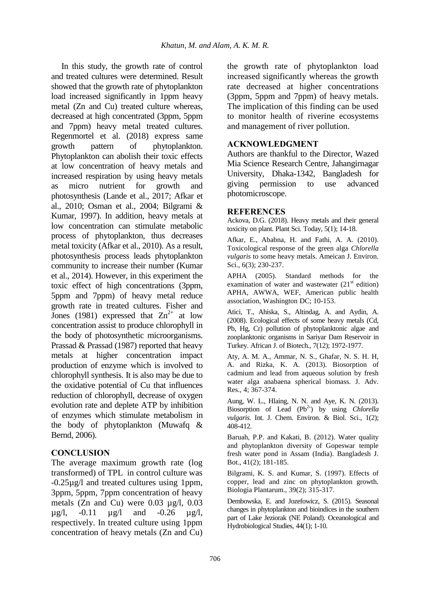In this study, the growth rate of control and treated cultures were determined. Result showed that the growth rate of phytoplankton load increased significantly in 1ppm heavy metal (Zn and Cu) treated culture whereas, decreased at high concentrated (3ppm, 5ppm and 7ppm) heavy metal treated cultures. Regenmortel et al. (2018) express same growth pattern of phytoplankton. Phytoplankton can abolish their toxic effects at low concentration of heavy metals and increased respiration by using heavy metals as micro nutrient for growth and photosynthesis (Lande et al., 2017; Afkar et al., 2010; Osman et al., 2004; Bilgrami & Kumar, 1997). In addition, heavy metals at low concentration can stimulate metabolic process of phytoplankton, thus decreases metal toxicity (Afkar et al., 2010). As a result, photosynthesis process leads phytoplankton community to increase their number (Kumar et al., 2014). However, in this experiment the toxic effect of high concentrations (3ppm, 5ppm and 7ppm) of heavy metal reduce growth rate in treated cultures. Fisher and Jones (1981) expressed that  $Zn^{2+}$  at low concentration assist to produce chlorophyll in the body of photosynthetic microorganisms. Prassad & Prassad (1987) reported that heavy metals at higher concentration impact production of enzyme which is involved to chlorophyll synthesis. It is also may be due to the oxidative potential of Cu that influences reduction of chlorophyll, decrease of oxygen evolution rate and deplete ATP by inhibition of enzymes which stimulate metabolism in the body of phytoplankton (Muwafq & Bernd, 2006).

## **CONCLUSION**

The average maximum growth rate (log transformed) of TPL in control culture was -0.25µg/l and treated cultures using 1ppm, 3ppm, 5ppm, 7ppm concentration of heavy metals (Zn and Cu) were 0.03 µg/l, 0.03  $\mu$ g/l, -0.11  $\mu$ g/l and -0.26  $\mu$ g/l, respectively. In treated culture using 1ppm concentration of heavy metals (Zn and Cu) the growth rate of phytoplankton load increased significantly whereas the growth rate decreased at higher concentrations (3ppm, 5ppm and 7ppm) of heavy metals. The implication of this finding can be used to monitor health of riverine ecosystems and management of river pollution.

### **ACKNOWLEDGMENT**

Authors are thankful to the Director, Wazed Mia Science Research Centre, Jahangirnagar University, Dhaka-1342, Bangladesh for giving permission to use advanced photomicroscope.

#### **REFERENCES**

Ackova, D.G. (2018). Heavy metals and their general toxicity on plant. Plant Sci. Today, 5(1); 14-18.

Afkar, E., Ababna, H. and Fathi, A. A. (2010). Toxicological response of the green alga *Chlorella vulgaris* to some heavy metals. Ameican J. Environ. Sci., 6(3); 230-237.

APHA (2005). Standard methods for the examination of water and wastewater  $(21<sup>st</sup>$  edition) APHA, AWWA, WEF, American public health association, Washington DC; 10-153.

Atici, T., Ahiska, S., Altindag, A. and Aydin, A. (2008). Ecological effects of some heavy metals (Cd, Pb, Hg, Cr) pollution of phytoplanktonic algae and zooplanktonic organisms in Sariyar Dam Reservoir in Turkey. African J. of Biotech., 7(12); 1972-1977.

Aty, A. M. A., Ammar, N. S., Ghafar, N. S. H. H, A. and Rizka, K. A. (2013). Biosorption of cadmium and lead from aqueous solution by fresh water alga anabaena spherical biomass. J. Adv. Res., 4; 367-374.

Aung, W. L., Hlaing, N. N. and Aye, K. N. (2013). Biosorption of Lead (Pb<sup>2+</sup>) by using *Chlorella vulgaris.* Int. J. Chem. Environ. & Biol. Sci., 1(2); 408-412.

Baruah, P.P. and Kakati, B. (2012). Water quality and phytoplankton diversity of Gopeswar temple fresh water pond in Assam (India). Bangladesh J. Bot., 41(2); 181-185.

Bilgrami, K. S. and Kumar, S. (1997). Effects of copper, lead and zinc on phytoplankton growth. Biologia Plantarum., 39(2); 315-317.

Dembowska, E. and Jozefowicz, S. (2015). Seasonal changes in phytoplankton and bioindices in the southern part of Lake Jeziorak (NE Poland). Oceanological and Hydrobiological Studies, 44(1); 1-10.